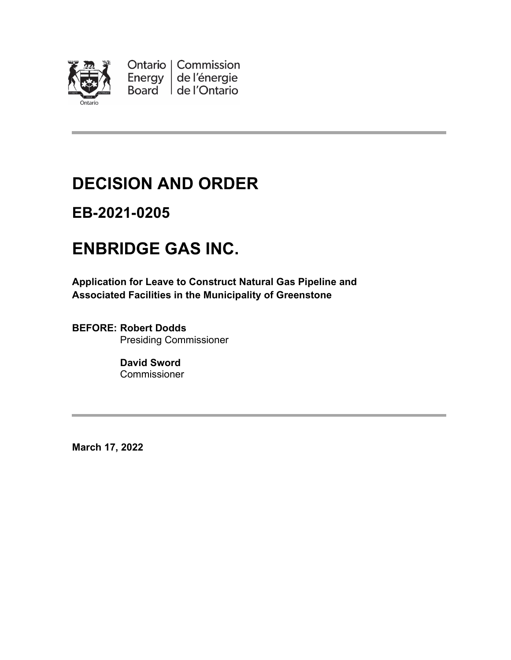

Ontario | Commission Energy  $\vert$  de l'énergie Board de l'Ontario

# **DECISION AND ORDER**

## **EB-2021-0205**

# **ENBRIDGE GAS INC.**

**Application for Leave to Construct Natural Gas Pipeline and Associated Facilities in the Municipality of Greenstone**

**BEFORE: Robert Dodds** Presiding Commissioner

> **David Sword Commissioner**

**March 17, 2022**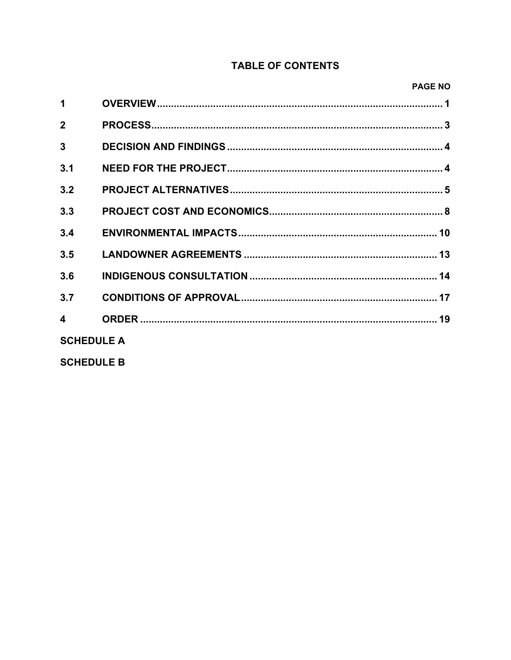### **TABLE OF CONTENTS**

#### **PAGE NO**

| $\blacktriangleleft$ |  |
|----------------------|--|
| $\overline{2}$       |  |
| 3                    |  |
| 3.1                  |  |
| 3.2                  |  |
| 3.3                  |  |
| 3.4                  |  |
| 3.5                  |  |
| 3.6                  |  |
| 3.7                  |  |
| 4                    |  |
| <b>SCHEDULE A</b>    |  |
| <b>SCHEDULE B</b>    |  |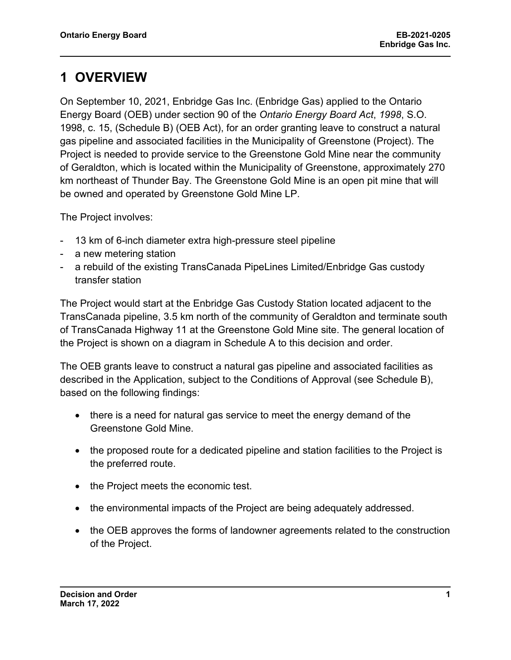## <span id="page-2-0"></span>**1 OVERVIEW**

On September 10, 2021, Enbridge Gas Inc. (Enbridge Gas) applied to the Ontario Energy Board (OEB) under section 90 of the *Ontario Energy Board Act*, *1998*, S.O. 1998, c. 15, (Schedule B) (OEB Act), for an order granting leave to construct a natural gas pipeline and associated facilities in the Municipality of Greenstone (Project). The Project is needed to provide service to the Greenstone Gold Mine near the community of Geraldton, which is located within the Municipality of Greenstone, approximately 270 km northeast of Thunder Bay. The Greenstone Gold Mine is an open pit mine that will be owned and operated by Greenstone Gold Mine LP.

The Project involves:

- 13 km of 6-inch diameter extra high-pressure steel pipeline
- a new metering station
- a rebuild of the existing TransCanada PipeLines Limited/Enbridge Gas custody transfer station

The Project would start at the Enbridge Gas Custody Station located adjacent to the TransCanada pipeline, 3.5 km north of the community of Geraldton and terminate south of TransCanada Highway 11 at the Greenstone Gold Mine site. The general location of the Project is shown on a diagram in Schedule A to this decision and order.

The OEB grants leave to construct a natural gas pipeline and associated facilities as described in the Application, subject to the Conditions of Approval (see Schedule B), based on the following findings:

- there is a need for natural gas service to meet the energy demand of the Greenstone Gold Mine.
- the proposed route for a dedicated pipeline and station facilities to the Project is the preferred route.
- the Project meets the economic test.
- the environmental impacts of the Project are being adequately addressed.
- the OEB approves the forms of landowner agreements related to the construction of the Project.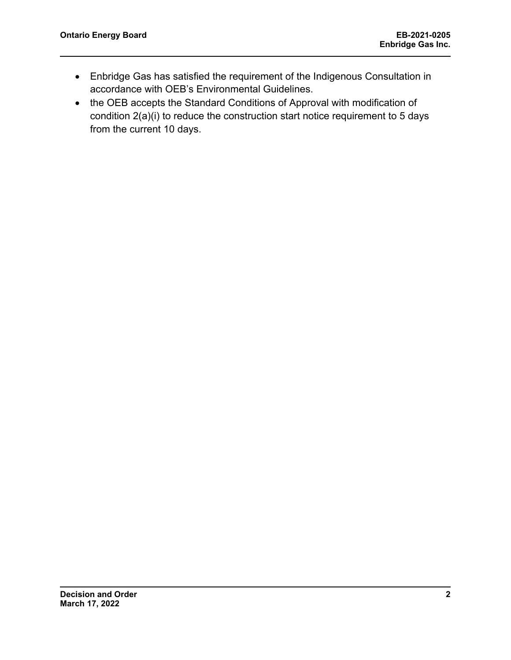- Enbridge Gas has satisfied the requirement of the Indigenous Consultation in accordance with OEB's Environmental Guidelines.
- the OEB accepts the Standard Conditions of Approval with modification of condition 2(a)(i) to reduce the construction start notice requirement to 5 days from the current 10 days.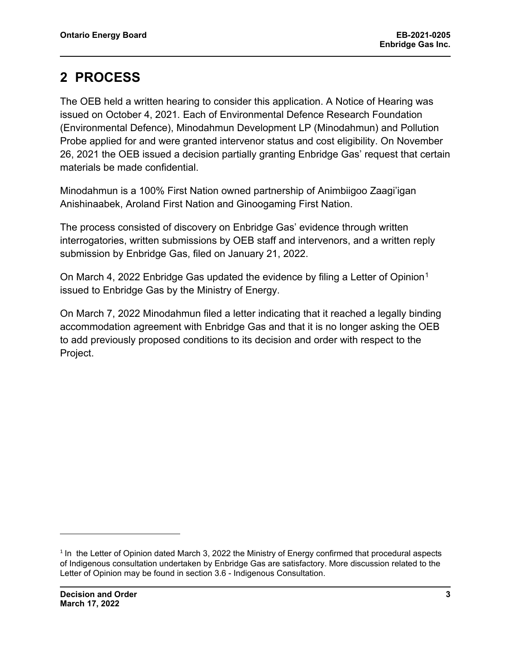## <span id="page-4-0"></span>**2 PROCESS**

The OEB held a written hearing to consider this application. A Notice of Hearing was issued on October 4, 2021*.* Each of Environmental Defence Research Foundation (Environmental Defence), Minodahmun Development LP (Minodahmun) and Pollution Probe applied for and were granted intervenor status and cost eligibility. On November 26, 2021 the OEB issued a decision partially granting Enbridge Gas' request that certain materials be made confidential.

Minodahmun is a 100% First Nation owned partnership of Animbiigoo Zaagi'igan Anishinaabek, Aroland First Nation and Ginoogaming First Nation.

The process consisted of discovery on Enbridge Gas' evidence through written interrogatories, written submissions by OEB staff and intervenors, and a written reply submission by Enbridge Gas, filed on January 21, 2022.

On March 4, 2022 Enbridge Gas updated the evidence by filing a Letter of Opinion<sup>[1](#page-4-1)</sup> issued to Enbridge Gas by the Ministry of Energy.

On March 7, 2022 Minodahmun filed a letter indicating that it reached a legally binding accommodation agreement with Enbridge Gas and that it is no longer asking the OEB to add previously proposed conditions to its decision and order with respect to the Project.

<span id="page-4-1"></span><sup>&</sup>lt;sup>1</sup> In the Letter of Opinion dated March 3, 2022 the Ministry of Energy confirmed that procedural aspects of Indigenous consultation undertaken by Enbridge Gas are satisfactory. More discussion related to the Letter of Opinion may be found in section 3.6 - Indigenous Consultation.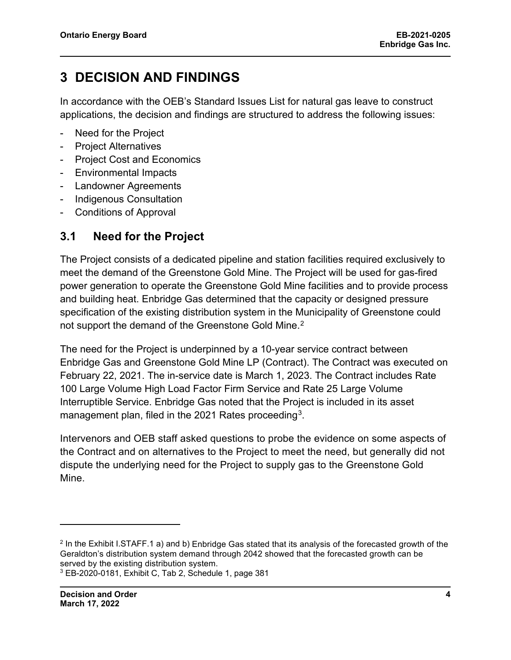## <span id="page-5-0"></span>**3 DECISION AND FINDINGS**

In accordance with the OEB's Standard Issues List for natural gas leave to construct applications, the decision and findings are structured to address the following issues:

- Need for the Project
- Project Alternatives
- Project Cost and Economics
- Environmental Impacts
- Landowner Agreements
- Indigenous Consultation
- Conditions of Approval

## <span id="page-5-1"></span>**3.1 Need for the Project**

The Project consists of a dedicated pipeline and station facilities required exclusively to meet the demand of the Greenstone Gold Mine. The Project will be used for gas-fired power generation to operate the Greenstone Gold Mine facilities and to provide process and building heat. Enbridge Gas determined that the capacity or designed pressure specification of the existing distribution system in the Municipality of Greenstone could not support the demand of the Greenstone Gold Mine.<sup>[2](#page-5-2)</sup>

The need for the Project is underpinned by a 10-year service contract between Enbridge Gas and Greenstone Gold Mine LP (Contract). The Contract was executed on February 22, 2021. The in-service date is March 1, 2023. The Contract includes Rate 100 Large Volume High Load Factor Firm Service and Rate 25 Large Volume Interruptible Service. Enbridge Gas noted that the Project is included in its asset management plan, filed in the 2021 Rates proceeding<sup>3</sup>.

Intervenors and OEB staff asked questions to probe the evidence on some aspects of the Contract and on alternatives to the Project to meet the need, but generally did not dispute the underlying need for the Project to supply gas to the Greenstone Gold Mine.

<span id="page-5-2"></span><sup>&</sup>lt;sup>2</sup> In the Exhibit I.STAFF.1 a) and b) Enbridge Gas stated that its analysis of the forecasted growth of the Geraldton's distribution system demand through 2042 showed that the forecasted growth can be served by the existing distribution system.

<span id="page-5-3"></span><sup>3</sup> EB-2020-0181, Exhibit C, Tab 2, Schedule 1, page 381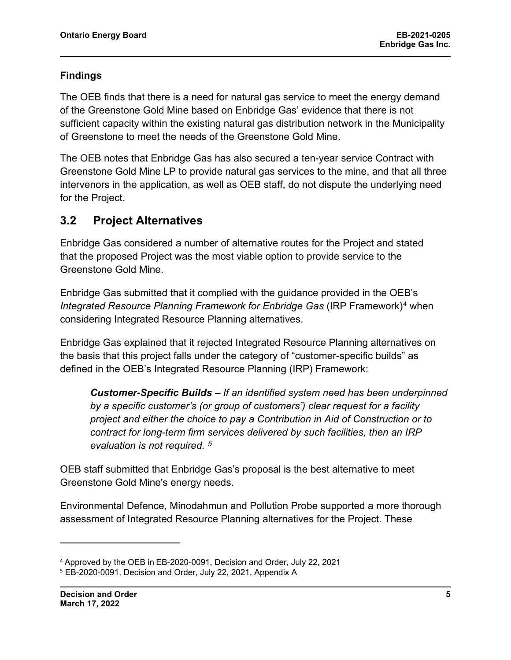#### **Findings**

The OEB finds that there is a need for natural gas service to meet the energy demand of the Greenstone Gold Mine based on Enbridge Gas' evidence that there is not sufficient capacity within the existing natural gas distribution network in the Municipality of Greenstone to meet the needs of the Greenstone Gold Mine.

The OEB notes that Enbridge Gas has also secured a ten-year service Contract with Greenstone Gold Mine LP to provide natural gas services to the mine, and that all three intervenors in the application, as well as OEB staff, do not dispute the underlying need for the Project.

## <span id="page-6-0"></span>**3.2 Project Alternatives**

Enbridge Gas considered a number of alternative routes for the Project and stated that the proposed Project was the most viable option to provide service to the Greenstone Gold Mine.

Enbridge Gas submitted that it complied with the guidance provided in the OEB's *Integrated Resource Planning Framework for Enbridge Gas* (IRP Framework)[4](#page-6-1) when considering Integrated Resource Planning alternatives.

Enbridge Gas explained that it rejected Integrated Resource Planning alternatives on the basis that this project falls under the category of "customer-specific builds" as defined in the OEB's Integrated Resource Planning (IRP) Framework:

*Customer-Specific Builds – If an identified system need has been underpinned by a specific customer's (or group of customers') clear request for a facility project and either the choice to pay a Contribution in Aid of Construction or to contract for long-term firm services delivered by such facilities, then an IRP evaluation is not required.* <sup>5</sup>

OEB staff submitted that Enbridge Gas's proposal is the best alternative to meet Greenstone Gold Mine's energy needs.

Environmental Defence, Minodahmun and Pollution Probe supported a more thorough assessment of Integrated Resource Planning alternatives for the Project. These

<span id="page-6-1"></span><sup>4</sup> Approved by the OEB in EB-2020-0091, Decision and Order, July 22, 2021

<sup>&</sup>lt;sup>5</sup> EB-2020-0091, Decision and Order, July 22, 2021, Appendix A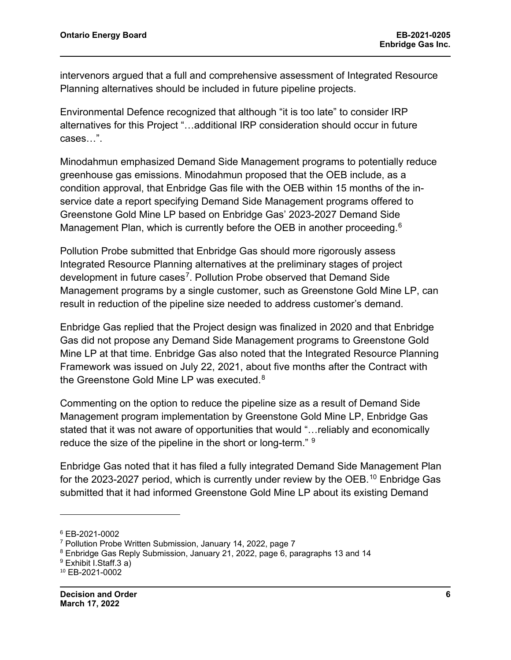intervenors argued that a full and comprehensive assessment of Integrated Resource Planning alternatives should be included in future pipeline projects.

Environmental Defence recognized that although "it is too late" to consider IRP alternatives for this Project "…additional IRP consideration should occur in future cases…".

Minodahmun emphasized Demand Side Management programs to potentially reduce greenhouse gas emissions. Minodahmun proposed that the OEB include, as a condition approval, that Enbridge Gas file with the OEB within 15 months of the inservice date a report specifying Demand Side Management programs offered to Greenstone Gold Mine LP based on Enbridge Gas' 2023-2027 Demand Side Management Plan, which is currently before the OEB in another proceeding. $^6$  $^6$ 

Pollution Probe submitted that Enbridge Gas should more rigorously assess Integrated Resource Planning alternatives at the preliminary stages of project development in future cases<sup>[7](#page-7-1)</sup>. Pollution Probe observed that Demand Side Management programs by a single customer, such as Greenstone Gold Mine LP, can result in reduction of the pipeline size needed to address customer's demand.

Enbridge Gas replied that the Project design was finalized in 2020 and that Enbridge Gas did not propose any Demand Side Management programs to Greenstone Gold Mine LP at that time. Enbridge Gas also noted that the Integrated Resource Planning Framework was issued on July 22, 2021, about five months after the Contract with the Greenstone Gold Mine LP was executed.<sup>[8](#page-7-2)</sup>

Commenting on the option to reduce the pipeline size as a result of Demand Side Management program implementation by Greenstone Gold Mine LP, Enbridge Gas stated that it was not aware of opportunities that would "…reliably and economically reduce the size of the pipeline in the short or long-term." <sup>[9](#page-7-3)</sup>

Enbridge Gas noted that it has filed a fully integrated Demand Side Management Plan for the 2023-2027 period, which is currently under review by the OEB.<sup>[10](#page-7-4)</sup> Enbridge Gas submitted that it had informed Greenstone Gold Mine LP about its existing Demand

<span id="page-7-0"></span><sup>6</sup> EB-2021-0002

<span id="page-7-1"></span><sup>7</sup> Pollution Probe Written Submission, January 14, 2022, page 7

<span id="page-7-2"></span><sup>8</sup> Enbridge Gas Reply Submission, January 21, 2022, page 6, paragraphs 13 and 14

<span id="page-7-3"></span><sup>&</sup>lt;sup>9</sup> Exhibit I.Staff.3 a)

<span id="page-7-4"></span><sup>10</sup> EB-2021-0002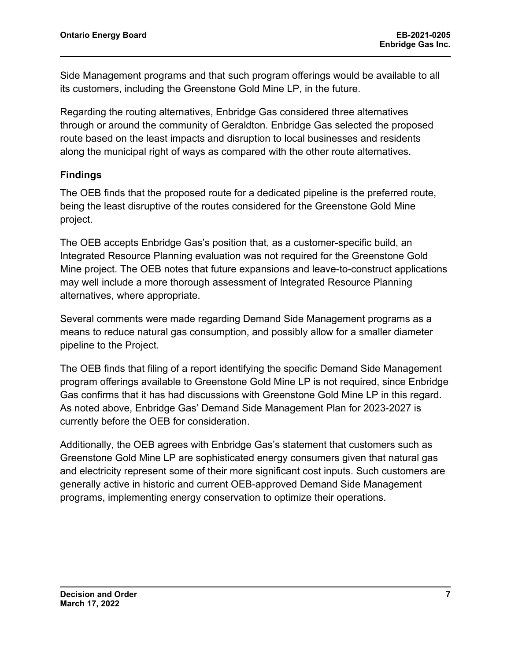Side Management programs and that such program offerings would be available to all its customers, including the Greenstone Gold Mine LP, in the future.

Regarding the routing alternatives, Enbridge Gas considered three alternatives through or around the community of Geraldton. Enbridge Gas selected the proposed route based on the least impacts and disruption to local businesses and residents along the municipal right of ways as compared with the other route alternatives.

#### **Findings**

The OEB finds that the proposed route for a dedicated pipeline is the preferred route, being the least disruptive of the routes considered for the Greenstone Gold Mine project.

The OEB accepts Enbridge Gas's position that, as a customer-specific build, an Integrated Resource Planning evaluation was not required for the Greenstone Gold Mine project. The OEB notes that future expansions and leave-to-construct applications may well include a more thorough assessment of Integrated Resource Planning alternatives, where appropriate.

Several comments were made regarding Demand Side Management programs as a means to reduce natural gas consumption, and possibly allow for a smaller diameter pipeline to the Project.

The OEB finds that filing of a report identifying the specific Demand Side Management program offerings available to Greenstone Gold Mine LP is not required, since Enbridge Gas confirms that it has had discussions with Greenstone Gold Mine LP in this regard. As noted above, Enbridge Gas' Demand Side Management Plan for 2023-2027 is currently before the OEB for consideration.

Additionally, the OEB agrees with Enbridge Gas's statement that customers such as Greenstone Gold Mine LP are sophisticated energy consumers given that natural gas and electricity represent some of their more significant cost inputs. Such customers are generally active in historic and current OEB-approved Demand Side Management programs, implementing energy conservation to optimize their operations.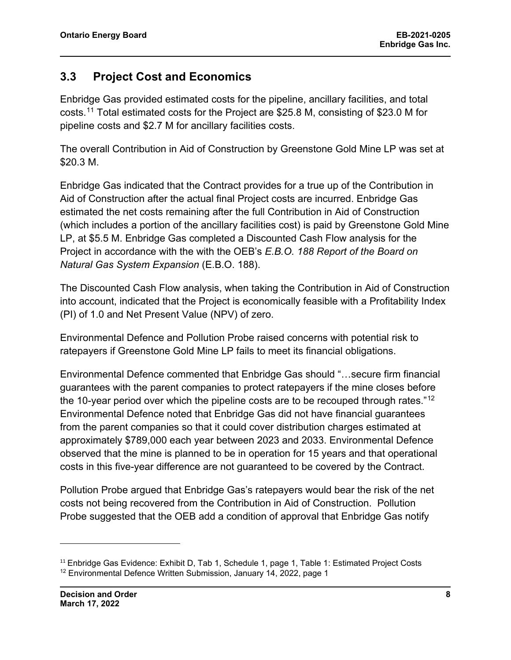### <span id="page-9-0"></span>**3.3 Project Cost and Economics**

Enbridge Gas provided estimated costs for the pipeline, ancillary facilities, and total costs.[11](#page-9-1) Total estimated costs for the Project are \$25.8 M, consisting of \$23.0 M for pipeline costs and \$2.7 M for ancillary facilities costs.

The overall Contribution in Aid of Construction by Greenstone Gold Mine LP was set at \$20.3 M.

Enbridge Gas indicated that the Contract provides for a true up of the Contribution in Aid of Construction after the actual final Project costs are incurred. Enbridge Gas estimated the net costs remaining after the full Contribution in Aid of Construction (which includes a portion of the ancillary facilities cost) is paid by Greenstone Gold Mine LP, at \$5.5 M. Enbridge Gas completed a Discounted Cash Flow analysis for the Project in accordance with the with the OEB's *E.B.O. 188 Report of the Board on Natural Gas System Expansion* (E.B.O. 188).

The Discounted Cash Flow analysis, when taking the Contribution in Aid of Construction into account, indicated that the Project is economically feasible with a Profitability Index (PI) of 1.0 and Net Present Value (NPV) of zero.

Environmental Defence and Pollution Probe raised concerns with potential risk to ratepayers if Greenstone Gold Mine LP fails to meet its financial obligations.

Environmental Defence commented that Enbridge Gas should "…secure firm financial guarantees with the parent companies to protect ratepayers if the mine closes before the 10-year period over which the pipeline costs are to be recouped through rates."<sup>[12](#page-9-2)</sup> Environmental Defence noted that Enbridge Gas did not have financial guarantees from the parent companies so that it could cover distribution charges estimated at approximately \$789,000 each year between 2023 and 2033. Environmental Defence observed that the mine is planned to be in operation for 15 years and that operational costs in this five-year difference are not guaranteed to be covered by the Contract.

Pollution Probe argued that Enbridge Gas's ratepayers would bear the risk of the net costs not being recovered from the Contribution in Aid of Construction. Pollution Probe suggested that the OEB add a condition of approval that Enbridge Gas notify

<span id="page-9-2"></span><span id="page-9-1"></span><sup>&</sup>lt;sup>11</sup> Enbridge Gas Evidence: Exhibit D, Tab 1, Schedule 1, page 1, Table 1: Estimated Project Costs <sup>12</sup> Environmental Defence Written Submission, January 14, 2022, page 1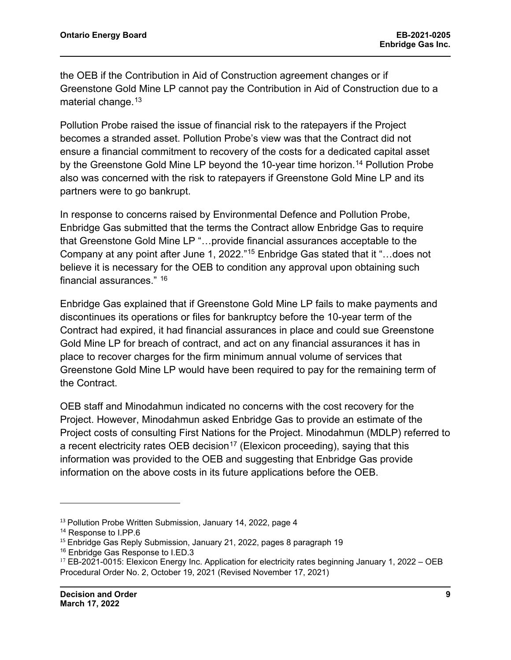the OEB if the Contribution in Aid of Construction agreement changes or if Greenstone Gold Mine LP cannot pay the Contribution in Aid of Construction due to a material change. [13](#page-10-0)

Pollution Probe raised the issue of financial risk to the ratepayers if the Project becomes a stranded asset. Pollution Probe's view was that the Contract did not ensure a financial commitment to recovery of the costs for a dedicated capital asset by the Greenstone Gold Mine LP beyond the 10-year time horizon.<sup>[14](#page-10-1)</sup> Pollution Probe also was concerned with the risk to ratepayers if Greenstone Gold Mine LP and its partners were to go bankrupt.

In response to concerns raised by Environmental Defence and Pollution Probe, Enbridge Gas submitted that the terms the Contract allow Enbridge Gas to require that Greenstone Gold Mine LP "…provide financial assurances acceptable to the Company at any point after June 1, 2022."[15](#page-10-2) Enbridge Gas stated that it "…does not believe it is necessary for the OEB to condition any approval upon obtaining such financial assurances." [16](#page-10-3)

Enbridge Gas explained that if Greenstone Gold Mine LP fails to make payments and discontinues its operations or files for bankruptcy before the 10-year term of the Contract had expired, it had financial assurances in place and could sue Greenstone Gold Mine LP for breach of contract, and act on any financial assurances it has in place to recover charges for the firm minimum annual volume of services that Greenstone Gold Mine LP would have been required to pay for the remaining term of the Contract.

OEB staff and Minodahmun indicated no concerns with the cost recovery for the Project. However, Minodahmun asked Enbridge Gas to provide an estimate of the Project costs of consulting First Nations for the Project. Minodahmun (MDLP) referred to a recent electricity rates OEB decision<sup>[17](#page-10-4)</sup> (Elexicon proceeding), saying that this information was provided to the OEB and suggesting that Enbridge Gas provide information on the above costs in its future applications before the OEB.

<span id="page-10-0"></span><sup>&</sup>lt;sup>13</sup> Pollution Probe Written Submission, January 14, 2022, page 4

<span id="page-10-1"></span><sup>&</sup>lt;sup>14</sup> Response to I.PP.6

<span id="page-10-2"></span><sup>&</sup>lt;sup>15</sup> Enbridge Gas Reply Submission, January 21, 2022, pages 8 paragraph 19

<span id="page-10-3"></span><sup>16</sup> Enbridge Gas Response to I.ED.3

<span id="page-10-4"></span> $17$  EB-2021-0015: Elexicon Energy Inc. Application for electricity rates beginning January 1, 2022 – OEB Procedural Order No. 2, October 19, 2021 (Revised November 17, 2021)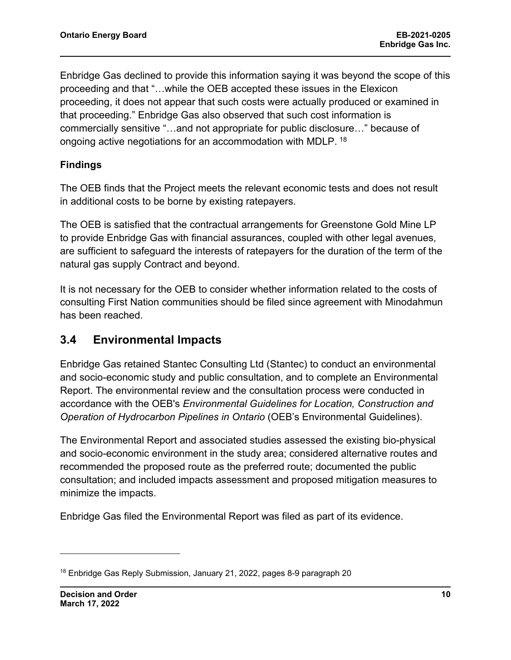Enbridge Gas declined to provide this information saying it was beyond the scope of this proceeding and that "…while the OEB accepted these issues in the Elexicon proceeding, it does not appear that such costs were actually produced or examined in that proceeding." Enbridge Gas also observed that such cost information is commercially sensitive "…and not appropriate for public disclosure…" because of ongoing active negotiations for an accommodation with MDLP. <sup>[18](#page-11-1)</sup>

#### **Findings**

The OEB finds that the Project meets the relevant economic tests and does not result in additional costs to be borne by existing ratepayers.

The OEB is satisfied that the contractual arrangements for Greenstone Gold Mine LP to provide Enbridge Gas with financial assurances, coupled with other legal avenues, are sufficient to safeguard the interests of ratepayers for the duration of the term of the natural gas supply Contract and beyond.

It is not necessary for the OEB to consider whether information related to the costs of consulting First Nation communities should be filed since agreement with Minodahmun has been reached.

### <span id="page-11-0"></span>**3.4 Environmental Impacts**

Enbridge Gas retained Stantec Consulting Ltd (Stantec) to conduct an environmental and socio-economic study and public consultation, and to complete an Environmental Report. The environmental review and the consultation process were conducted in accordance with the OEB's *Environmental Guidelines for Location, Construction and Operation of Hydrocarbon Pipelines in Ontario* (OEB's Environmental Guidelines).

The Environmental Report and associated studies assessed the existing bio-physical and socio-economic environment in the study area; considered alternative routes and recommended the proposed route as the preferred route; documented the public consultation; and included impacts assessment and proposed mitigation measures to minimize the impacts.

Enbridge Gas filed the Environmental Report was filed as part of its evidence.

<span id="page-11-1"></span><sup>&</sup>lt;sup>18</sup> Enbridge Gas Reply Submission, January 21, 2022, pages 8-9 paragraph 20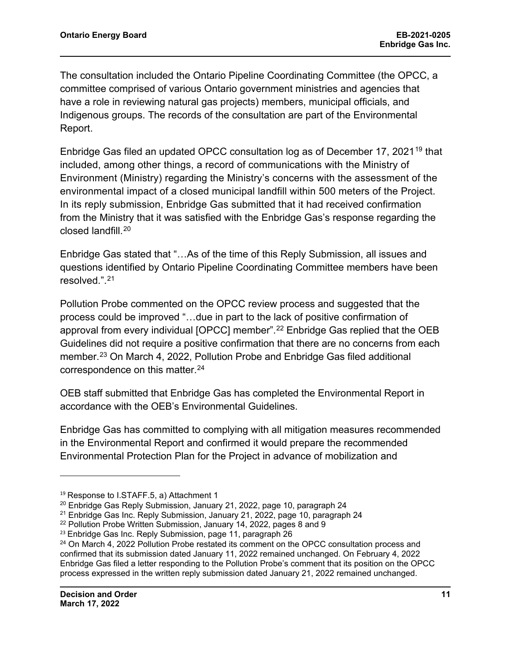The consultation included the Ontario Pipeline Coordinating Committee (the OPCC, a committee comprised of various Ontario government ministries and agencies that have a role in reviewing natural gas projects) members, municipal officials, and Indigenous groups. The records of the consultation are part of the Environmental Report.

Enbridge Gas filed an updated OPCC consultation log as of December 17, 2021[19](#page-12-0) that included, among other things, a record of communications with the Ministry of Environment (Ministry) regarding the Ministry's concerns with the assessment of the environmental impact of a closed municipal landfill within 500 meters of the Project. In its reply submission, Enbridge Gas submitted that it had received confirmation from the Ministry that it was satisfied with the Enbridge Gas's response regarding the closed landfill. [20](#page-12-1) 

Enbridge Gas stated that "…As of the time of this Reply Submission, all issues and questions identified by Ontario Pipeline Coordinating Committee members have been resolved.".[21](#page-12-2)

Pollution Probe commented on the OPCC review process and suggested that the process could be improved "…due in part to the lack of positive confirmation of approval from every individual [OPCC] member".<sup>[22](#page-12-3)</sup> Enbridge Gas replied that the OEB Guidelines did not require a positive confirmation that there are no concerns from each member.[23](#page-12-4) On March 4, 2022, Pollution Probe and Enbridge Gas filed additional correspondence on this matter.<sup>[24](#page-12-5)</sup>

OEB staff submitted that Enbridge Gas has completed the Environmental Report in accordance with the OEB's Environmental Guidelines.

Enbridge Gas has committed to complying with all mitigation measures recommended in the Environmental Report and confirmed it would prepare the recommended Environmental Protection Plan for the Project in advance of mobilization and

<span id="page-12-0"></span><sup>&</sup>lt;sup>19</sup> Response to I.STAFF.5, a) Attachment 1

<span id="page-12-1"></span> $20$  Enbridge Gas Reply Submission, January 21, 2022, page 10, paragraph 24

<span id="page-12-2"></span><sup>&</sup>lt;sup>21</sup> Enbridge Gas Inc. Reply Submission, January 21, 2022, page 10, paragraph 24

<span id="page-12-3"></span><sup>22</sup> Pollution Probe Written Submission, January 14, 2022, pages 8 and 9

<span id="page-12-4"></span><sup>&</sup>lt;sup>23</sup> Enbridge Gas Inc. Reply Submission, page 11, paragraph 26

<span id="page-12-5"></span> $24$  On March 4, 2022 Pollution Probe restated its comment on the OPCC consultation process and confirmed that its submission dated January 11, 2022 remained unchanged. On February 4, 2022 Enbridge Gas filed a letter responding to the Pollution Probe's comment that its position on the OPCC process expressed in the written reply submission dated January 21, 2022 remained unchanged.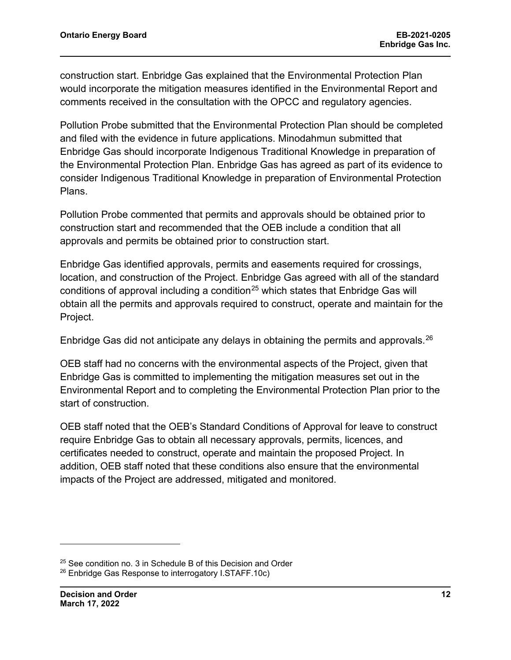construction start. Enbridge Gas explained that the Environmental Protection Plan would incorporate the mitigation measures identified in the Environmental Report and comments received in the consultation with the OPCC and regulatory agencies.

Pollution Probe submitted that the Environmental Protection Plan should be completed and filed with the evidence in future applications. Minodahmun submitted that Enbridge Gas should incorporate Indigenous Traditional Knowledge in preparation of the Environmental Protection Plan. Enbridge Gas has agreed as part of its evidence to consider Indigenous Traditional Knowledge in preparation of Environmental Protection Plans.

Pollution Probe commented that permits and approvals should be obtained prior to construction start and recommended that the OEB include a condition that all approvals and permits be obtained prior to construction start.

Enbridge Gas identified approvals, permits and easements required for crossings, location, and construction of the Project. Enbridge Gas agreed with all of the standard conditions of approval including a condition<sup>[25](#page-13-0)</sup> which states that Enbridge Gas will obtain all the permits and approvals required to construct, operate and maintain for the Project.

Enbridge Gas did not anticipate any delays in obtaining the permits and approvals.  $26$ 

OEB staff had no concerns with the environmental aspects of the Project, given that Enbridge Gas is committed to implementing the mitigation measures set out in the Environmental Report and to completing the Environmental Protection Plan prior to the start of construction.

OEB staff noted that the OEB's Standard Conditions of Approval for leave to construct require Enbridge Gas to obtain all necessary approvals, permits, licences, and certificates needed to construct, operate and maintain the proposed Project. In addition, OEB staff noted that these conditions also ensure that the environmental impacts of the Project are addressed, mitigated and monitored.

<span id="page-13-0"></span><sup>&</sup>lt;sup>25</sup> See condition no. 3 in Schedule B of this Decision and Order

<span id="page-13-1"></span><sup>26</sup> Enbridge Gas Response to interrogatory I.STAFF.10c)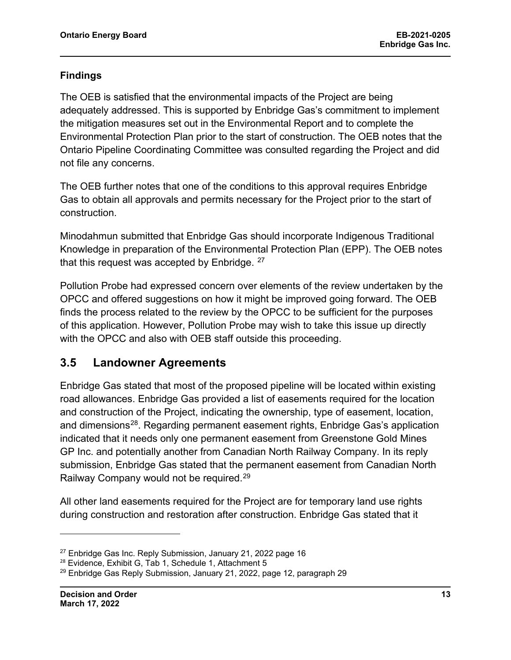### **Findings**

The OEB is satisfied that the environmental impacts of the Project are being adequately addressed. This is supported by Enbridge Gas's commitment to implement the mitigation measures set out in the Environmental Report and to complete the Environmental Protection Plan prior to the start of construction. The OEB notes that the Ontario Pipeline Coordinating Committee was consulted regarding the Project and did not file any concerns.

The OEB further notes that one of the conditions to this approval requires Enbridge Gas to obtain all approvals and permits necessary for the Project prior to the start of construction.

Minodahmun submitted that Enbridge Gas should incorporate Indigenous Traditional Knowledge in preparation of the Environmental Protection Plan (EPP). The OEB notes that this request was accepted by Enbridge.  $27$ 

Pollution Probe had expressed concern over elements of the review undertaken by the OPCC and offered suggestions on how it might be improved going forward. The OEB finds the process related to the review by the OPCC to be sufficient for the purposes of this application. However, Pollution Probe may wish to take this issue up directly with the OPCC and also with OEB staff outside this proceeding.

### <span id="page-14-0"></span>**3.5 Landowner Agreements**

Enbridge Gas stated that most of the proposed pipeline will be located within existing road allowances. Enbridge Gas provided a list of easements required for the location and construction of the Project, indicating the ownership, type of easement, location, and dimensions<sup>[28](#page-14-2)</sup>. Regarding permanent easement rights, Enbridge Gas's application indicated that it needs only one permanent easement from Greenstone Gold Mines GP Inc. and potentially another from Canadian North Railway Company. In its reply submission, Enbridge Gas stated that the permanent easement from Canadian North Railway Company would not be required.[29](#page-14-3)

All other land easements required for the Project are for temporary land use rights during construction and restoration after construction. Enbridge Gas stated that it

<span id="page-14-1"></span><sup>&</sup>lt;sup>27</sup> Enbridge Gas Inc. Reply Submission, January 21, 2022 page 16

<span id="page-14-2"></span><sup>28</sup> Evidence, Exhibit G, Tab 1, Schedule 1, Attachment 5

<span id="page-14-3"></span> $29$  Enbridge Gas Reply Submission, January 21, 2022, page 12, paragraph 29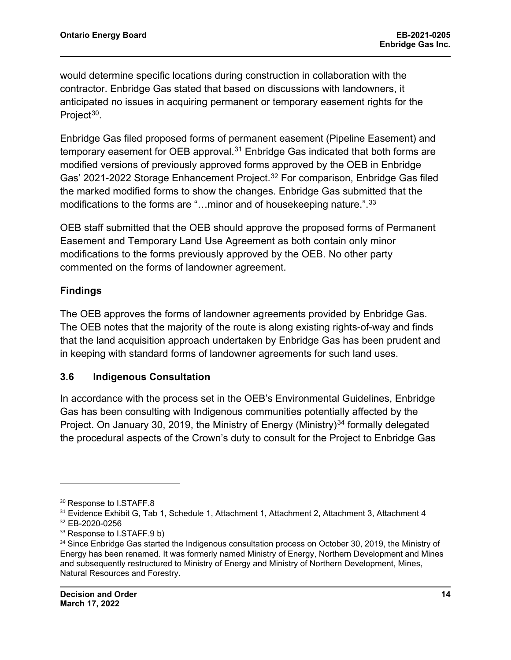would determine specific locations during construction in collaboration with the contractor. Enbridge Gas stated that based on discussions with landowners, it anticipated no issues in acquiring permanent or temporary easement rights for the Project<sup>30</sup>.

Enbridge Gas filed proposed forms of permanent easement (Pipeline Easement) and temporary easement for OEB approval.<sup>[31](#page-15-2)</sup> Enbridge Gas indicated that both forms are modified versions of previously approved forms approved by the OEB in Enbridge Gas' 2021-2022 Storage Enhancement Project.<sup>[32](#page-15-3)</sup> For comparison, Enbridge Gas filed the marked modified forms to show the changes. Enbridge Gas submitted that the modifications to the forms are "...minor and of housekeeping nature.".<sup>[33](#page-15-4)</sup>

OEB staff submitted that the OEB should approve the proposed forms of Permanent Easement and Temporary Land Use Agreement as both contain only minor modifications to the forms previously approved by the OEB. No other party commented on the forms of landowner agreement.

#### **Findings**

The OEB approves the forms of landowner agreements provided by Enbridge Gas. The OEB notes that the majority of the route is along existing rights-of-way and finds that the land acquisition approach undertaken by Enbridge Gas has been prudent and in keeping with standard forms of landowner agreements for such land uses.

#### <span id="page-15-0"></span>**3.6 Indigenous Consultation**

In accordance with the process set in the OEB's Environmental Guidelines, Enbridge Gas has been consulting with Indigenous communities potentially affected by the Project. On January 30, 2019, the Ministry of Energy (Ministry) $34$  formally delegated the procedural aspects of the Crown's duty to consult for the Project to Enbridge Gas

<span id="page-15-1"></span><sup>30</sup> Response to I.STAFF.8

<span id="page-15-3"></span><span id="page-15-2"></span><sup>&</sup>lt;sup>31</sup> Evidence Exhibit G, Tab 1, Schedule 1, Attachment 1, Attachment 2, Attachment 3, Attachment 4 <sup>32</sup> EB-2020-0256

<span id="page-15-4"></span><sup>33</sup> Response to I.STAFF.9 b)

<span id="page-15-5"></span><sup>34</sup> Since Enbridge Gas started the Indigenous consultation process on October 30, 2019, the Ministry of Energy has been renamed. It was formerly named Ministry of Energy, Northern Development and Mines and subsequently restructured to Ministry of Energy and Ministry of Northern Development, Mines, Natural Resources and Forestry.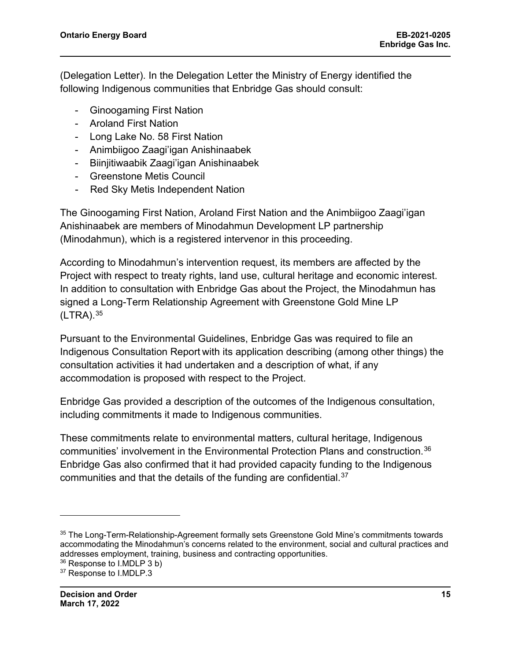(Delegation Letter). In the Delegation Letter the Ministry of Energy identified the following Indigenous communities that Enbridge Gas should consult:

- Ginoogaming First Nation
- Aroland First Nation
- Long Lake No. 58 First Nation
- Animbiigoo Zaagi'igan Anishinaabek
- Biinjitiwaabik Zaagi'igan Anishinaabek
- Greenstone Metis Council
- Red Sky Metis Independent Nation

The Ginoogaming First Nation, Aroland First Nation and the Animbiigoo Zaagi'igan Anishinaabek are members of Minodahmun Development LP partnership (Minodahmun), which is a registered intervenor in this proceeding.

According to Minodahmun's intervention request, its members are affected by the Project with respect to treaty rights, land use, cultural heritage and economic interest. In addition to consultation with Enbridge Gas about the Project, the Minodahmun has signed a Long-Term Relationship Agreement with Greenstone Gold Mine LP (LTRA). [35](#page-16-0)

Pursuant to the Environmental Guidelines, Enbridge Gas was required to file an Indigenous Consultation Report with its application describing (among other things) the consultation activities it had undertaken and a description of what, if any accommodation is proposed with respect to the Project.

Enbridge Gas provided a description of the outcomes of the Indigenous consultation, including commitments it made to Indigenous communities.

These commitments relate to environmental matters, cultural heritage, Indigenous communities' involvement in the Environmental Protection Plans and construction.[36](#page-16-1) Enbridge Gas also confirmed that it had provided capacity funding to the Indigenous communities and that the details of the funding are confidential.<sup>37</sup>

<span id="page-16-0"></span><sup>35</sup> The Long-Term-Relationship-Agreement formally sets Greenstone Gold Mine's commitments towards accommodating the Minodahmun's concerns related to the environment, social and cultural practices and addresses employment, training, business and contracting opportunities.

<span id="page-16-1"></span><sup>36</sup> Response to I.MDLP 3 b)

<span id="page-16-2"></span><sup>&</sup>lt;sup>37</sup> Response to I.MDLP.3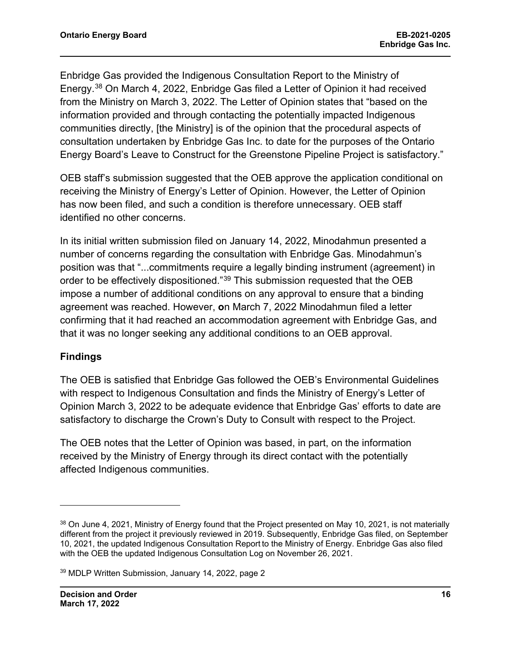Enbridge Gas provided the Indigenous Consultation Report to the Ministry of Energy. [38](#page-17-0) On March 4, 2022, Enbridge Gas filed a Letter of Opinion it had received from the Ministry on March 3, 2022. The Letter of Opinion states that "based on the information provided and through contacting the potentially impacted Indigenous communities directly, [the Ministry] is of the opinion that the procedural aspects of consultation undertaken by Enbridge Gas Inc. to date for the purposes of the Ontario Energy Board's Leave to Construct for the Greenstone Pipeline Project is satisfactory."

OEB staff's submission suggested that the OEB approve the application conditional on receiving the Ministry of Energy's Letter of Opinion. However, the Letter of Opinion has now been filed, and such a condition is therefore unnecessary. OEB staff identified no other concerns.

In its initial written submission filed on January 14, 2022, Minodahmun presented a number of concerns regarding the consultation with Enbridge Gas. Minodahmun's position was that "...commitments require a legally binding instrument (agreement) in order to be effectively dispositioned."[39](#page-17-1) This submission requested that the OEB impose a number of additional conditions on any approval to ensure that a binding agreement was reached. However, **o**n March 7, 2022 Minodahmun filed a letter confirming that it had reached an accommodation agreement with Enbridge Gas, and that it was no longer seeking any additional conditions to an OEB approval.

### **Findings**

The OEB is satisfied that Enbridge Gas followed the OEB's Environmental Guidelines with respect to Indigenous Consultation and finds the Ministry of Energy's Letter of Opinion March 3, 2022 to be adequate evidence that Enbridge Gas' efforts to date are satisfactory to discharge the Crown's Duty to Consult with respect to the Project.

The OEB notes that the Letter of Opinion was based, in part, on the information received by the Ministry of Energy through its direct contact with the potentially affected Indigenous communities.

<span id="page-17-0"></span><sup>38</sup> On June 4, 2021, Ministry of Energy found that the Project presented on May 10, 2021, is not materially different from the project it previously reviewed in 2019. Subsequently, Enbridge Gas filed, on September 10, 2021, the updated Indigenous Consultation Report to the Ministry of Energy. Enbridge Gas also filed with the OEB the updated Indigenous Consultation Log on November 26, 2021.

<span id="page-17-1"></span><sup>39</sup> MDLP Written Submission, January 14, 2022, page 2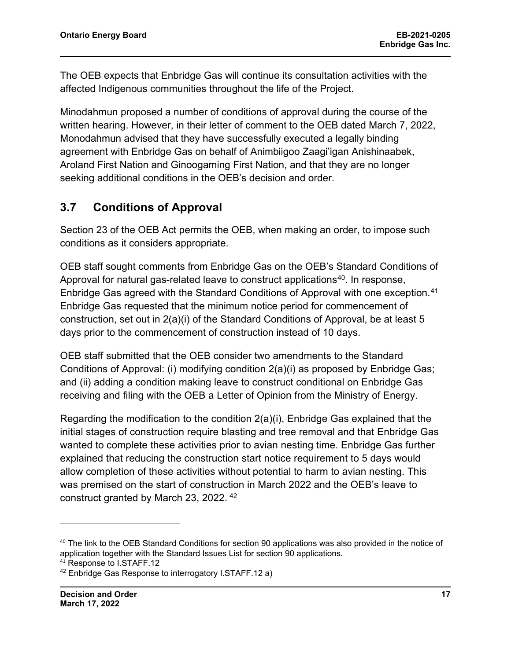The OEB expects that Enbridge Gas will continue its consultation activities with the affected Indigenous communities throughout the life of the Project.

Minodahmun proposed a number of conditions of approval during the course of the written hearing. However, in their letter of comment to the OEB dated March 7, 2022, Monodahmun advised that they have successfully executed a legally binding agreement with Enbridge Gas on behalf of Animbiigoo Zaagi'igan Anishinaabek, Aroland First Nation and Ginoogaming First Nation, and that they are no longer seeking additional conditions in the OEB's decision and order.

## <span id="page-18-0"></span>**3.7 Conditions of Approval**

Section 23 of the OEB Act permits the OEB, when making an order, to impose such conditions as it considers appropriate.

OEB staff sought comments from Enbridge Gas on the OEB's Standard Conditions of Approval for natural gas-related leave to construct applications<sup>40</sup>. In response, Enbridge Gas agreed with the Standard Conditions of Approval with one exception.<sup>[41](#page-18-2)</sup> Enbridge Gas requested that the minimum notice period for commencement of construction, set out in 2(a)(i) of the Standard Conditions of Approval, be at least 5 days prior to the commencement of construction instead of 10 days.

OEB staff submitted that the OEB consider two amendments to the Standard Conditions of Approval: (i) modifying condition 2(a)(i) as proposed by Enbridge Gas; and (ii) adding a condition making leave to construct conditional on Enbridge Gas receiving and filing with the OEB a Letter of Opinion from the Ministry of Energy.

Regarding the modification to the condition 2(a)(i), Enbridge Gas explained that the initial stages of construction require blasting and tree removal and that Enbridge Gas wanted to complete these activities prior to avian nesting time. Enbridge Gas further explained that reducing the construction start notice requirement to 5 days would allow completion of these activities without potential to harm to avian nesting. This was premised on the start of construction in March 2022 and the OEB's leave to construct granted by March 23, 2022. [42](#page-18-3)

<span id="page-18-1"></span><sup>&</sup>lt;sup>40</sup> The link to the OEB Standard Conditions for section 90 applications was also provided in the notice of application together with the Standard Issues List for section 90 applications.

<span id="page-18-2"></span><sup>41</sup> Response to I.STAFF.12

<span id="page-18-3"></span><sup>42</sup> Enbridge Gas Response to interrogatory I.STAFF.12 a)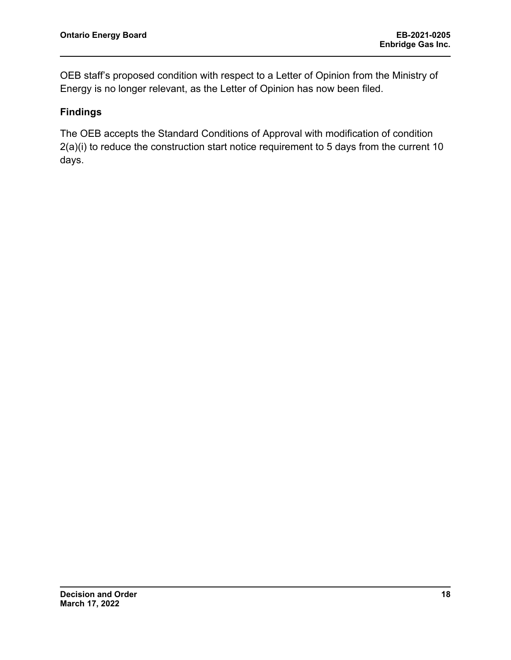OEB staff's proposed condition with respect to a Letter of Opinion from the Ministry of Energy is no longer relevant, as the Letter of Opinion has now been filed.

#### **Findings**

The OEB accepts the Standard Conditions of Approval with modification of condition 2(a)(i) to reduce the construction start notice requirement to 5 days from the current 10 days.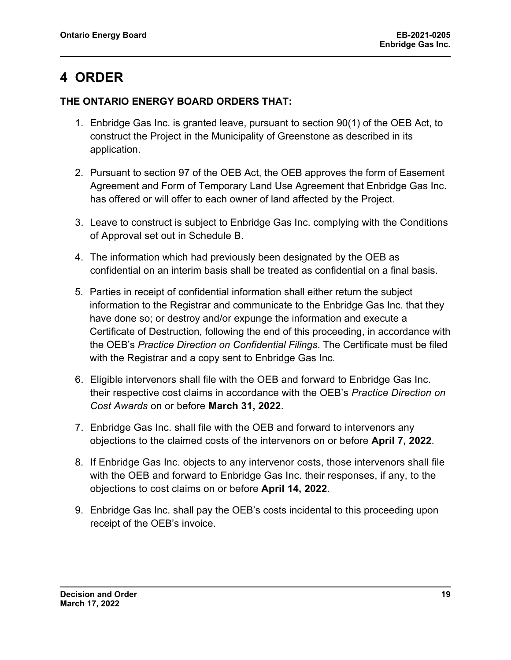## <span id="page-20-0"></span>**4 ORDER**

#### **THE ONTARIO ENERGY BOARD ORDERS THAT:**

- 1. Enbridge Gas Inc. is granted leave, pursuant to section 90(1) of the OEB Act, to construct the Project in the Municipality of Greenstone as described in its application.
- 2. Pursuant to section 97 of the OEB Act, the OEB approves the form of Easement Agreement and Form of Temporary Land Use Agreement that Enbridge Gas Inc. has offered or will offer to each owner of land affected by the Project.
- 3. Leave to construct is subject to Enbridge Gas Inc. complying with the Conditions of Approval set out in Schedule B.
- 4. The information which had previously been designated by the OEB as confidential on an interim basis shall be treated as confidential on a final basis.
- 5. Parties in receipt of confidential information shall either return the subject information to the Registrar and communicate to the Enbridge Gas Inc. that they have done so; or destroy and/or expunge the information and execute a Certificate of Destruction, following the end of this proceeding, in accordance with the OEB's *Practice Direction on Confidential Filings*. The Certificate must be filed with the Registrar and a copy sent to Enbridge Gas Inc.
- 6. Eligible intervenors shall file with the OEB and forward to Enbridge Gas Inc. their respective cost claims in accordance with the OEB's *Practice Direction on Cost Awards* on or before **March 31, 2022**.
- 7. Enbridge Gas Inc. shall file with the OEB and forward to intervenors any objections to the claimed costs of the intervenors on or before **April 7, 2022**.
- 8. If Enbridge Gas Inc. objects to any intervenor costs, those intervenors shall file with the OEB and forward to Enbridge Gas Inc. their responses, if any, to the objections to cost claims on or before **April 14, 2022**.
- 9. Enbridge Gas Inc. shall pay the OEB's costs incidental to this proceeding upon receipt of the OEB's invoice.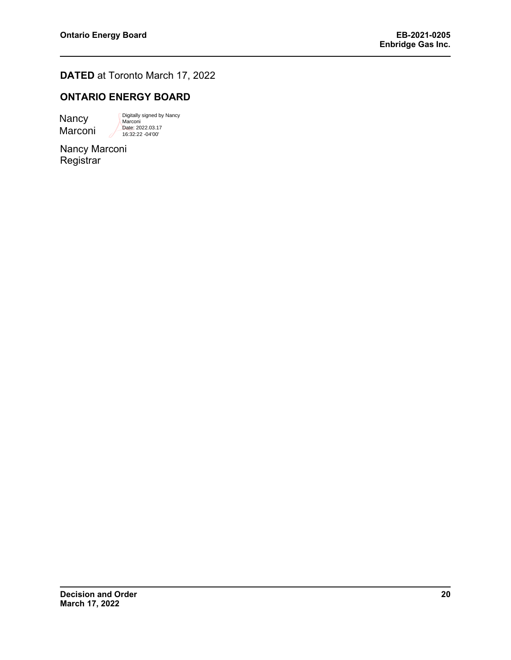**DATED** at Toronto March 17, 2022

#### **ONTARIO ENERGY BOARD**

**Nancy** Marconi Digitally signed by Nancy Marconi Date: 2022.03.17 16:32:22 -04'00'

Nancy Marconi **Registrar**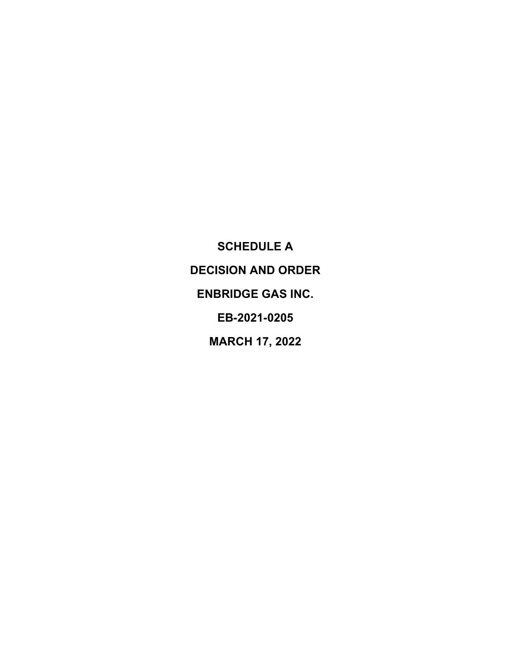<span id="page-22-0"></span>**SCHEDULE A DECISION AND ORDER ENBRIDGE GAS INC. EB-2021-0205 MARCH 17, 2022**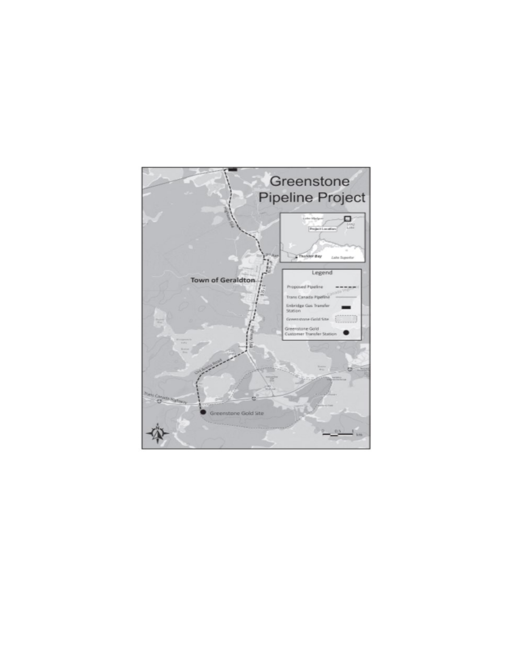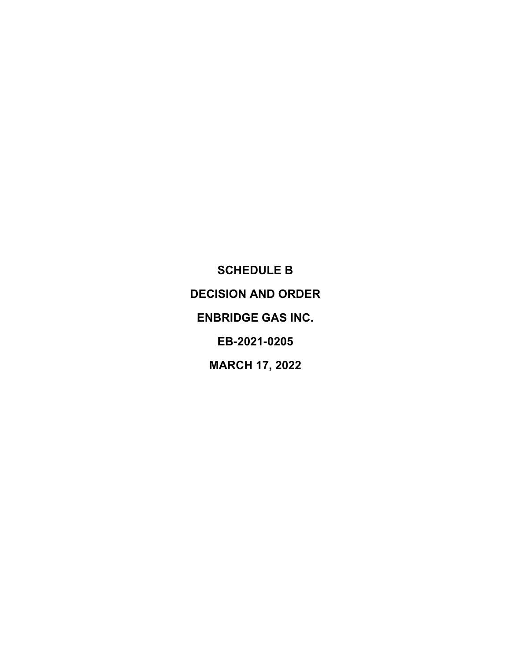<span id="page-24-0"></span>**SCHEDULE B DECISION AND ORDER ENBRIDGE GAS INC. EB-2021-0205 MARCH 17, 2022**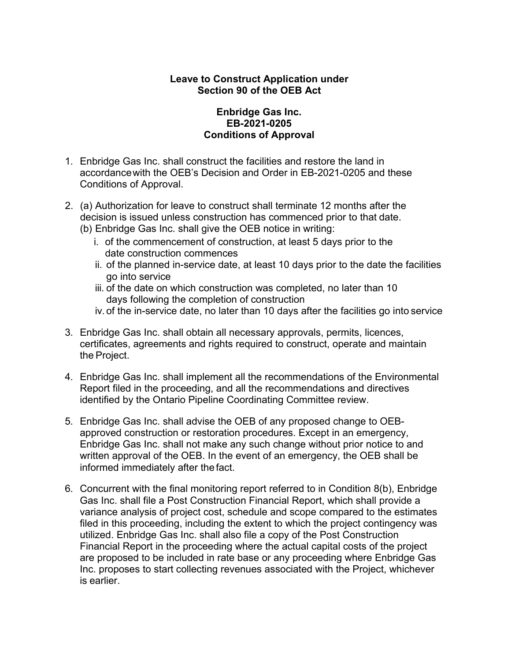#### **Leave to Construct Application under Section 90 of the OEB Act**

#### **Enbridge Gas Inc. EB-2021-0205 Conditions of Approval**

- 1. Enbridge Gas Inc. shall construct the facilities and restore the land in accordancewith the OEB's Decision and Order in EB-2021-0205 and these Conditions of Approval.
- 2. (a) Authorization for leave to construct shall terminate 12 months after the decision is issued unless construction has commenced prior to that date.
	- (b) Enbridge Gas Inc. shall give the OEB notice in writing:
		- i. of the commencement of construction, at least 5 days prior to the date construction commences
		- ii. of the planned in-service date, at least 10 days prior to the date the facilities go into service
		- iii. of the date on which construction was completed, no later than 10 days following the completion of construction
		- iv. of the in-service date, no later than 10 days after the facilities go into service
- 3. Enbridge Gas Inc. shall obtain all necessary approvals, permits, licences, certificates, agreements and rights required to construct, operate and maintain the Project.
- 4. Enbridge Gas Inc. shall implement all the recommendations of the Environmental Report filed in the proceeding, and all the recommendations and directives identified by the Ontario Pipeline Coordinating Committee review.
- 5. Enbridge Gas Inc. shall advise the OEB of any proposed change to OEBapproved construction or restoration procedures. Except in an emergency, Enbridge Gas Inc. shall not make any such change without prior notice to and written approval of the OEB. In the event of an emergency, the OEB shall be informed immediately after thefact.
- 6. Concurrent with the final monitoring report referred to in Condition 8(b), Enbridge Gas Inc. shall file a Post Construction Financial Report, which shall provide a variance analysis of project cost, schedule and scope compared to the estimates filed in this proceeding, including the extent to which the project contingency was utilized. Enbridge Gas Inc. shall also file a copy of the Post Construction Financial Report in the proceeding where the actual capital costs of the project are proposed to be included in rate base or any proceeding where Enbridge Gas Inc. proposes to start collecting revenues associated with the Project, whichever is earlier.